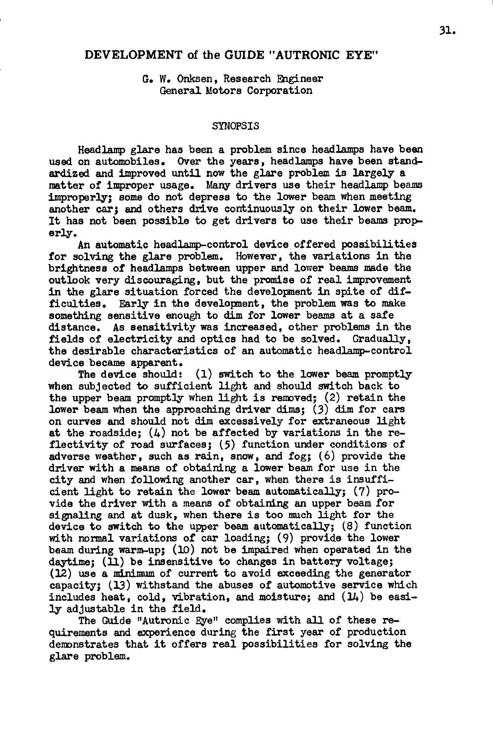## **DEVELOPMENT of the GUIDE "AUTRONIC EYE'**

G. W. Onksen, Research Engineer General Motors Corporation

## SYNOPSIS

Headlamp glare has been a problem since headlamps have been used on automobiles. Over the years, headlamps have been standardized and improved until now the glare problem is largely a matter of improper usage. Many drivers use their headlamp beams improperly; some do not depress to the lower beam when meeting another car; and others drive continuously on their lower beam. It has not been possible to get drivers to use their beams properly .

An automatic headlamp-control device offered possibilities for solving the glare problem. However, the variations in the brightness of headlamps between upper and lower beams made the outlook very discouraging, but the promise of real improvement in the glare situation forced the development in spite of difficulties. Early in the development, the problem was to make something sensitive enough to dim for lower beams at a safe distance. As sensitivity was increased, other problems in the fields of electricity and optics had to be solved. Gradually, t he desirable characteristics of an automatic headlamp-control device became apparent.

The device should:  $(1)$  switch to the lower beam promptly when subjected to sufficient light and should switch back to the upper beam promptly when light is removed:  $(2)$  retain the lower beam when the approaching driver dims;  $(3)$  dim for cars on curves and should not dim excessively for extraneous light at the roadside;  $(4)$  not be affected by variations in the reflectivity of road surfaces;  $(5)$  function under conditions of adverse weather, such as rain, snow, and fog;  $(6)$  provide the driver with a means of obtaining a lower beam for use in the city and when following another car, when there is insufficient light to retain the lower beam automatically; (7) provide the driver with a means of obtaining an upper beam for signaling and at dusk, when there is too much light for the device to switch to the upper beam automatically;  $(8)$  function with normal variations of car loading; (9) provide the lower beam during warm-up;  $(10)$  not be impaired when operated in the daytime;  $(1)$  be insensitive to changes in battery voltage;  $(12)$  use a minimum of current to avoid exceeding the generator capacity; (13) withstand the abuses of automotive service which includes heat, cold, vibration, and moisture; and  $(14)$  be easily adjustable in the field.

The Guide "Autronic Eye" complies with all of these requirements and experience during the first year of production demonstrates that it offers real possibilities for solving the glare problem.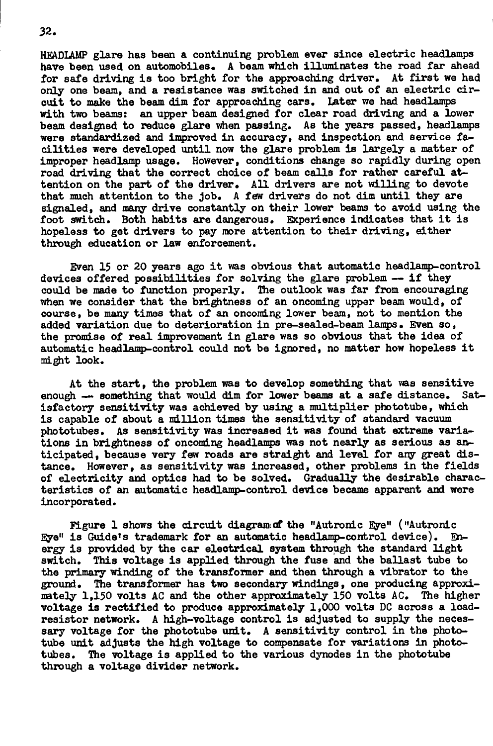HEADIAMP glare has been a continuing problem ever since electric headlamps have been used on automobiles. A beam which illuminates the road far ahead for safe driving is too bright for the approaching driver. At first we had only one beam, and a resistance was switched in and out of an electric cir-cuit to make the beam dim for approaching cars. Later we had headlamps cuit to make the beam dim for approaching cars. I have need headlamps and a lamps with two beams: an upper beam designed for clear road driving and a lower road  $\alpha$ beam designed to reduce glare when passing. As the years passed, headlamps were standardized and improved in accuracy, and inspection and service facilities were developed until now the glare problem is largely a matter of improper headlamp usage. However, conditions change so rapidly during open road driving that the correct choice of beam calls for rather careful attention on the part of the driver. All drivers are not willing to devote that much attention to the job. A few drivers do not dim until they are signaled, and many drive constantly on their lower beams to avoid using the foot switch. Both habits are dangerous. Experience indicates that it is hopeless to get drivers to pay more attention to their driving, either through education or law enforcement.

through education or law enforcement. Even 15 or 20 years ago it was obvious that automatic headlamp-control devices offered possibilities for solving the glare problem  $-$  if they could be made to function properly. The outlook was far from encouraging when we consider that the brightness of an oncoming upper beam would, of course, be many times that of an oncoming lower beam, not to mention the added variation due to deterioration in pre-sealed-beam lamps. Even so, the promise of real improvement in glare was so obvious that the idea of automatic headlamp-control could not be ignored, no matter how hopeless it might look.

At the start, the problem was to develop something that was sensitive<br>h — something that would dim for lower beams at a safe distance. Satenough - something that would dim for lower beams at a safe distance. isfactory sensitivity was achieved by using a multiplier phototube, which is capable of about a million times the sensitivity of standard vacuum phototubes. As sensitivity was increased it was found that extreme variations in brightness of oncoming headlamps was not nearly as serious as anticipated. because very few roads are straight and level for any great distance. However, as sensitivity was increased, other problems in the fields of electricity and optics had to be solved. Gradually the desirable characteristics of an automatic headlamp-control device became apparent and were incorporated.

Figure 1 shows the circuit diagramed the "Autronic Eye" ("Autronic **Eve"** is Guide's trademark for an automatic headlamp-control device). Energy is provided by the car electrical system through the standard light switch. This voltage is applied through the fuse and the ballast tube to the primary winding of the transformer and then through a vibrator to the ground. The transformer has two secondary windings, one producing approximately 1,150 volts AC and the other approximately 150 volts AC. The higher voltage is rectified to produce approximately 1,000 volts DC across a loadresistor network. A high-voltage control is adjusted to supply the necessary voltage for the phototube unit. A sensitivity control in the phototube unit adjusts the high voltage to compensate for variations in phototubes. The voltage is applied to the various dynodes in the phototube through a voltage divider network.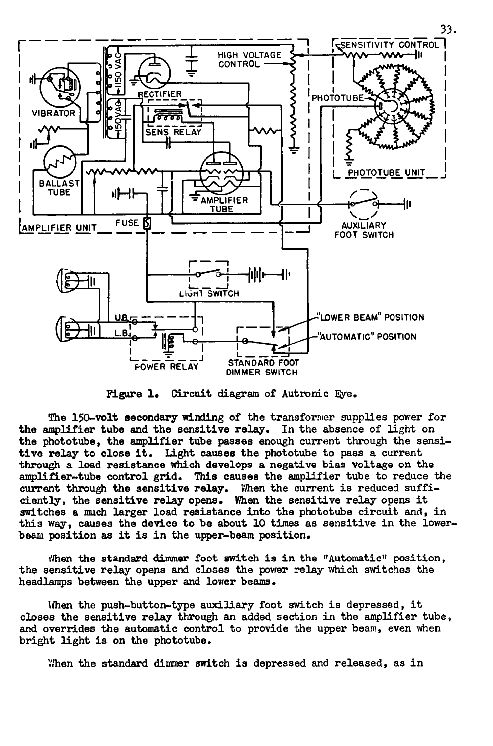

Figure 1. Circuit diagram of Autronic Eye.

The 150-volt secondary winding of the transformer supplies power for the amplifier tube and the sensitive relay. In the absence of light on the phototube, the amplifier tube passes enough current through the sensitive relay to close it. Light causes the phototube to pass a current through a load resistance which develops a negative bias voltage on the amplifier-tube control grid. This causes the amplifier tube to reduce the current through the sensitive relay. When the current is reduced sufficiently, the sensitive relay opens. When the sensitive relay opens it switches a much larger load resistance into the phototube circuit and, in this way, causes the device to be about 10 times as sensitive in the lowerbeam position as it is in the upper-beam position.

When the standard dimmer foot switch is in the "Automatic" position, the sensitive relay opens and closes the power relay which switches the headlamps between the upper and *lover* beams.

When the push-button-type auxiliary foot switch is depressed, it closes the sensitive relay through an added section in the amplifier tube, and overrides the automatic control to provide the upper beam, even when bright light is on the phototube.

When the standard dimmer switch is depressed and released, as in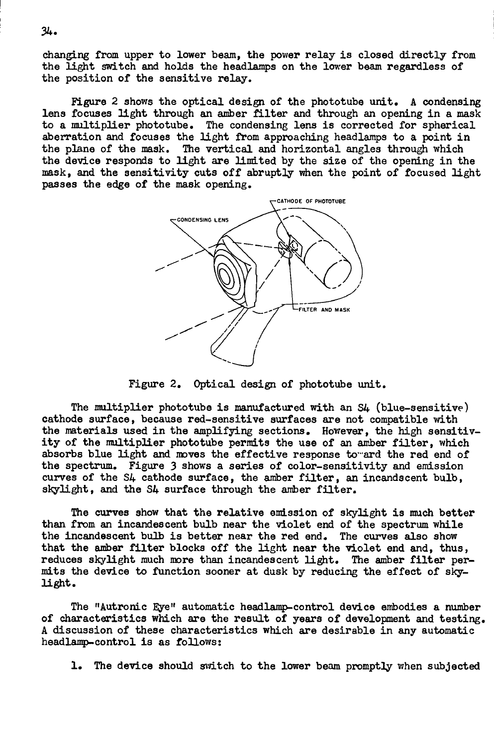changing from upper to lower beam, the power relay is closed directly from the light switch and holds the headlamps on the lower beam regardless of the position of the sensitive relay.

Figure 2 shows the optical design of the phototube unit. A condensing lens focuses light through an amber filter and through an opening in a mask to a multiplier phototube. The condensing lens is corrected for spherical aberration and focuses the light from approaching headlamps to a point in the plane of the mask. The vertical and horizontal angles through which the device responds to light are limited by the size of the opening in the mask, and the sensitivity cuts off abruptly when the point of focused light passes the edge of the mask opening.



Figure *2.* Optical design of phototube unit .

The multiplier phototube is manufactured with an S4 (blue-sensitive) cathode surface, because red-sensitive surfaces are not compatible with the materials used in the amplifying sections. However, the high sensitivity of the multiplier phototube permits the use of an amber filter, which absorbs blue light and moves the effective response to ard the red end of the spectrum. Figure 3 shows a series of color-sensitivity and emission curves of the S4 cathode surface, the amber filter, an incandscent bulb, skylight, and the S4 surface through the amber filter.

The curves show that the relative emission of skylight is much better than from an incandescent bulb near the violet end of the spectrum while the incandescent bulb is better near the red end. The curves also show that the amber filter blocks off the light near the violet end and, thus, reduces skylight much more than incandescent light. The amber filter permits the device to function sooner at dusk by reducing the effect of skylight.

The "Autronic Eye" automatic headlamp-control device embodies a number of characteristics which are the result of years of development and testing. A discussion of these characteristics which are desirable in any automatic headlamp-control is as follows:

1. The device should switch to the lower beam promptly when subjected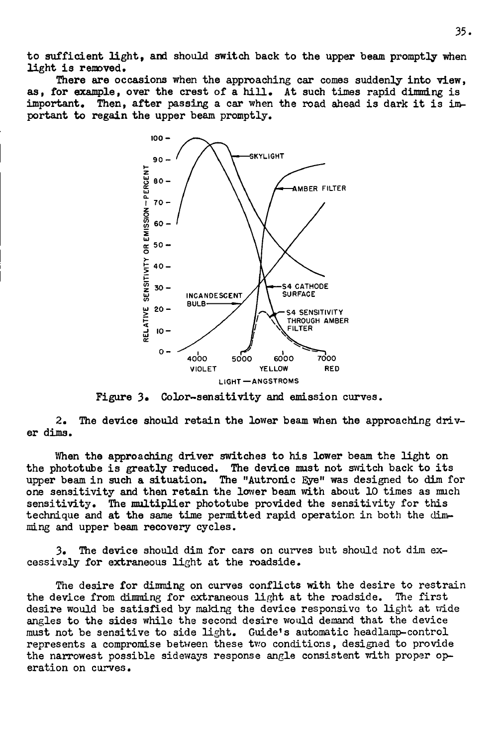to sufficient light, and should switch back to the upper beam promptly when light is removed.

There are occasions when the approaching car comes suddenly into view, as, for example, over the crest of a hill. At such times rapid dimming is important. Then, after passing a car when the road ahead is dark it is important to regain the upper beam promptly.



Figure 3. Color-sensitivity and emission curves.

2. The device should retain the lower beam when the approaching driver dims.

When the approaching driver switches to his lower beam the light on the phototube is greatly reduced. The device must not switch back to its upper beam in such a situation. The "Autronic Eye" was designed to dim for one sensitivity and then retain the lower beam with about 10 times as much sensitivity. The multiplier phototube provided the sensitivity for this technique and at the same time permitted rapid operation in both the dimming and upper beam recovery cycles.

3. The device should dim for cars on curves but should not dim excessively for extraneous light at the roadside.

The desire for dimming on curves conflicts with the desire to restrain the device from dimming for extraneous light at the roadside. The first desire would be satisfied by making the device responsive to light at wide angles to the sides while the second desire would demand that the device must not be sensitive to side light. Guide's automatic headlamp-control represents a compromise between these two conditions, designed to provide the narrowest possible sideways response angle consistent with proper operation on curves.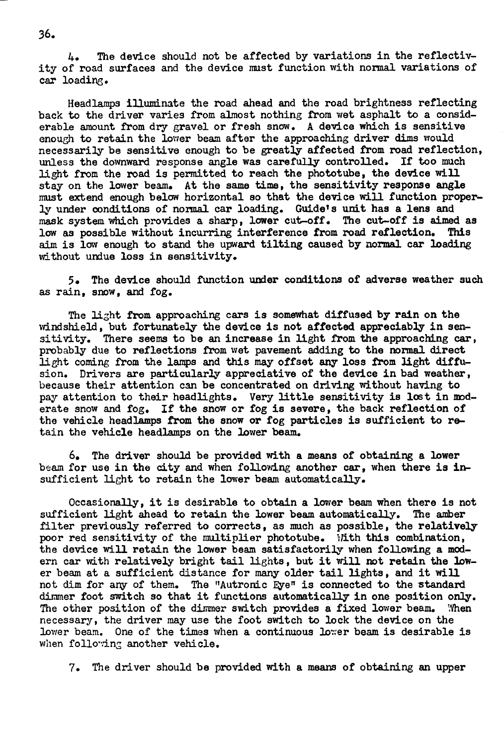4. The device should not be affected by variations in the reflectivity of road surfaces and the device must function with normal variations of car loading.

Headlamps illuminate the road ahead and the road brightness reflecting back to the driver varies from almost nothing from wet asphalt to a considerable amount from dry gravel or fresh snow. A device which is sensitive enough to retain the lower beam after the approaching driver dims would necessarily be sensitive enough to be greatly affected from road reflection, unless the downward response angle was carefully controlled. If too much light from the road is permitted to reach the phototube, the device will stay on the lower beam. At the same time, the sensitivity response angle must extend enough below horizontal so that the device will function properly under conditions of normal car loading. Guide's unit has a lens and mask system which provides a sharp, lower cut-off. The cut-off is aimed as low as possible without incurring interference from road reflection. This aim is low enough to stand the upward tilting caused by normal car loading without undue loss in sensitivity.

5. The device should function under conditions of adverse weather such as rain, snow, and fog.

The light from approaching cars is somewhat diffused by rain on the windshield, but fortunately the device is not affected appreciably in sensitivity. There seems to be an increase in light from the approaching  $car$ , probably due to reflections from wet pavement adding to the normal direct light coming from the lamps and this may offset any loss from light diffusion. Drivers are particularly appreciative of the device in bad weather, because their attention can be concentrated on driving without having to pay attention to their headlights. Very little sensitivity is lost in moderate snow and fog. If the snow or fog is severe, the back reflection of the vehicle headlamps from the snow or fog particles is sufficient to retain the vehicle headlamps on the lower beam.

 $6.$  The driver should be provided with a means of obtaining a lower beam for use in the city and when following another car, when there is insufficient light to retain the lower beam automatically.

Occasionally, it is desirable to obtain a lower beam when there is not sufficient light ahead to retain the lower beam automatically. The amber filter previously referred to corrects, as much as possible, the relatively poor red sensitivity of the multiplier phototube. With this combination, the device will retain the lower beam satisfactorily when following a modern car with relatively bright tail lights, but it will not retain the lower beam at a sufficient distance for many older tail lights, and it will not dim for any of them. The "Autronic Eye" is connected to the standard dimmer foot switch so that it functions automatically in one position only. The other position of the dimmer switch provides a fixed lower beam. When necessary, the driver may use the foot switch to lock the device on the lower beam. One of the times when a continuous lower beam is desirable is when following another vehicle.

7. The driver should be provided with a means of obtaining an upper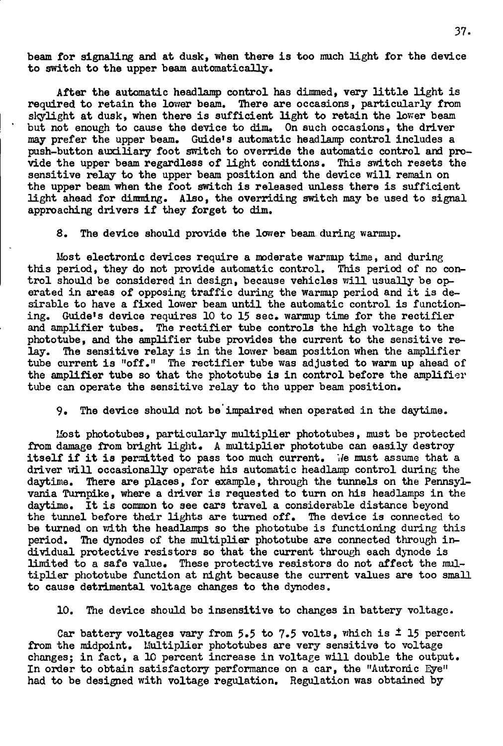beam for signaling and at dusk, when there is too much light for the device to switch to the upper beam automatically.

After the automatic headlamp control has dimmed, very little light is required to retain the lower beam. There are occasions, particularly from skylight at dusk, when there is sufficient light to retain the lower beam but not enough to cause the device to dim. On such occasions, the driver may prefer the upper beam. Guide's automatic headlamp control includes a push-button auxiliary foot switch to override the automatic control and provide the upper beam regardless of light conditions. This switch resets the sensitive relay to the upper beam position and the device will remain on the upper beam when the foot switch is released unless there is sufficient light ahead for dimming. Also, the overriding switch may be used to signal approaching drivers if they forget to dim.

8. The device should provide the lower beam during warmup.

Most electronic devices require a moderate warraup time, and during this period, they do not provide automatic control. This period of no control should be considered in design, because vehicles will usually be operated in areas of opposing traffic during the warmup period and it is desirable to have a fixed lower beam until the automatic control is functioning. Guide's device requires 10 to 15 sec. warmup time for the rectifier and amplifier tubes. The rectifier tube controls the high voltage to the phototube, and the amplifier tube provides the current to the sensitive relay. The sensitive relay is in the lower beam position when the amplifier tube current is "off." The rectifier tube was adjusted to warm up ahead of the amplifier tube so that the phototube is in control before the amplifier tube can operate the sensitive relay to the upper beam position.

9. The device should not be impaired when operated in the daytime.

Most phototubes, particularly multiplier phototubes, must be protected from damage from bright light. A multiplier phototube can easily destroy itself if it is permitted to pass too much current. We must assume that a driver will occasionally operate his automatic headlamp control during the daytime. There are places, for example, through the tunnels on the Pennsylvania Turnpike, where a driver is requested to turn on his headlamps in the daytime. It is common to see cars travel a considerable distance beyond the tunnel before their lights are turned off. The device is connected to be turned on with the headlamps so the phototube is functioning during this period. The dynodes of the multiplier phototube are connected through individual protective resistors so that the current through each dynode is limited to a safe value. These protective resistors do not affect the multiplier phototube function at night because the current values are too small to cause detrimental voltage changes to the dynodes.

10. The device should be insensitive to changes in battery voltage.

Car battery voltages vary from 5.5 to 7.5 volts, which is  $\pm$  15 percent from the midpoint. Multiplier phototubes are very sensitive to voltage changes; in fact, a 10 percent increase in voltage will double the output. In order to obtain satisfactory performance on a car, the "Autronic Eye" had to be designed with voltage regulation. Regulation was obtained by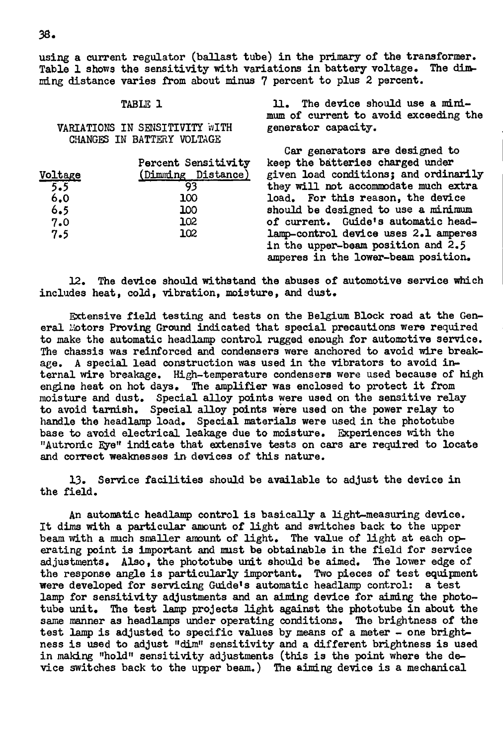using a current regulator (ballast tube) in the primary of the transformer. Table 1 shows the sensitivity with variations in battery voltage. The dimming distance varies from about minus 7 percent to plus 2 percent.

VARIATIONS IN SENSITIVITY WITH CHANGES IN BATTERY VOLTAGE

| Voltage | Percent Sensitivity<br>(Dimming Distance) |
|---------|-------------------------------------------|
| 5.5     |                                           |
| 6.0     | 100                                       |
| 6.5     | 100                                       |
| 7.0     | 102                                       |
| 7.5     | 102                                       |
|         |                                           |

TABLE 1 11. The device should use a minimum of current to avoid exceeding the generator capacity.

> Gar generators are designed to keep the batteries charged under given load conditions; and ordinarily they will not accommodate much extra load. For this reason, the device should be designed to use a minimum of current. Guide's automatic headlamp-control device uses 2.1 amperes in the upper-beam position and  $2.5$ amperes in the lower-beam position.

12. The device should withstand the abuses of automotive service which includes heat, cold, vibration, moisture, and dust.

Extensive field testing and tests on the Belgium Block road at the General Motors Proving Ground indicated that special precautions were required to make the automatic headlamp control rugged enough for automotive service. The chassis was reinforced and condensers were anchored to avoid wire breakage. A special lead construction was used in the vibrators to avoid internal wire breakage. High-temperature condensers were used because of high engine heat on hot days. The amplifier was enclosed to protect it from moisture and dust. Special alloy points were used on the sensitive relay to avoid tarnish. Special alloy points were used on the power relay to handle the headlamp load. Special materials were used in the phototube base to avoid electrical leakage due to moisture. Experiences with the "Autronic Eve" indicate that extensive tests on cars are required to locate and correct weaknesses in devices of this nature.

13. Service facilities should be available to adjust the device in the field.

An automatic headlamp control is basically a light-measuring device. It dims with a particular amount of light and switches back to the upper beam with a much smaller amount of light. The value of light at each operating point is important and must be obtainable in the field for service adjustments. Also, the phototube unit should be aimed. The lower edge of the response angle is particularly important. Two pieces of test equipment were developed for servicing Guide's automatic headlamp control: a test lamp for sensitivity adjustments and an aiming device for aiming the phototube unit. The test lamp projects light against the phototube in about the same manner as headlamps under operating conditions. The brightness of the test lamp is adjusted to specific values by means of a meter - one brightness is used to adjust "dim" sensitivity and a different brightness is used in making "hold" sensitivity adjustments (this is the point where the device switches back to the upper beam.) The aiming device is a mechanical